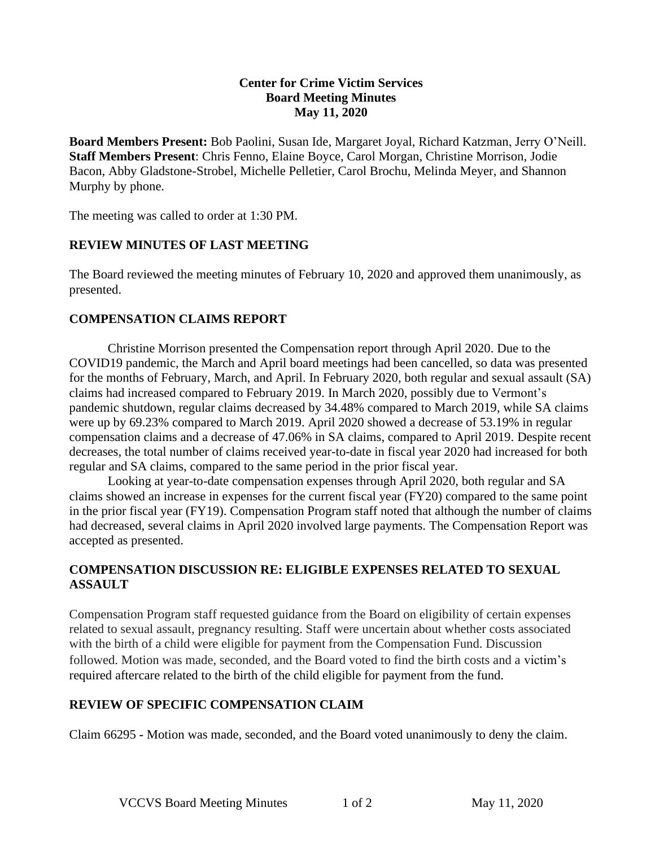#### **Center for Crime Victim Services Board Meeting Minutes May 11, 2020**

**Board Members Present:** Bob Paolini, Susan Ide, Margaret Joyal, Richard Katzman, Jerry O'Neill. **Staff Members Present**: Chris Fenno, Elaine Boyce, Carol Morgan, Christine Morrison, Jodie Bacon, Abby Gladstone-Strobel, Michelle Pelletier, Carol Brochu, Melinda Meyer, and Shannon Murphy by phone.

The meeting was called to order at 1:30 PM.

## **REVIEW MINUTES OF LAST MEETING**

The Board reviewed the meeting minutes of February 10, 2020 and approved them unanimously, as presented.

#### **COMPENSATION CLAIMS REPORT**

Christine Morrison presented the Compensation report through April 2020. Due to the COVID19 pandemic, the March and April board meetings had been cancelled, so data was presented for the months of February, March, and April. In February 2020, both regular and sexual assault (SA) claims had increased compared to February 2019. In March 2020, possibly due to Vermont's pandemic shutdown, regular claims decreased by 34.48% compared to March 2019, while SA claims were up by 69.23% compared to March 2019. April 2020 showed a decrease of 53.19% in regular compensation claims and a decrease of 47.06% in SA claims, compared to April 2019. Despite recent decreases, the total number of claims received year-to-date in fiscal year 2020 had increased for both regular and SA claims, compared to the same period in the prior fiscal year.

Looking at year-to-date compensation expenses through April 2020, both regular and SA claims showed an increase in expenses for the current fiscal year (FY20) compared to the same point in the prior fiscal year (FY19). Compensation Program staff noted that although the number of claims had decreased, several claims in April 2020 involved large payments. The Compensation Report was accepted as presented.

### **COMPENSATION DISCUSSION RE: ELIGIBLE EXPENSES RELATED TO SEXUAL ASSAULT**

Compensation Program staff requested guidance from the Board on eligibility of certain expenses related to sexual assault, pregnancy resulting. Staff were uncertain about whether costs associated with the birth of a child were eligible for payment from the Compensation Fund. Discussion followed. Motion was made, seconded, and the Board voted to find the birth costs and a victim's required aftercare related to the birth of the child eligible for payment from the fund.

## **REVIEW OF SPECIFIC COMPENSATION CLAIM**

Claim 66295 **-** Motion was made, seconded, and the Board voted unanimously to deny the claim.